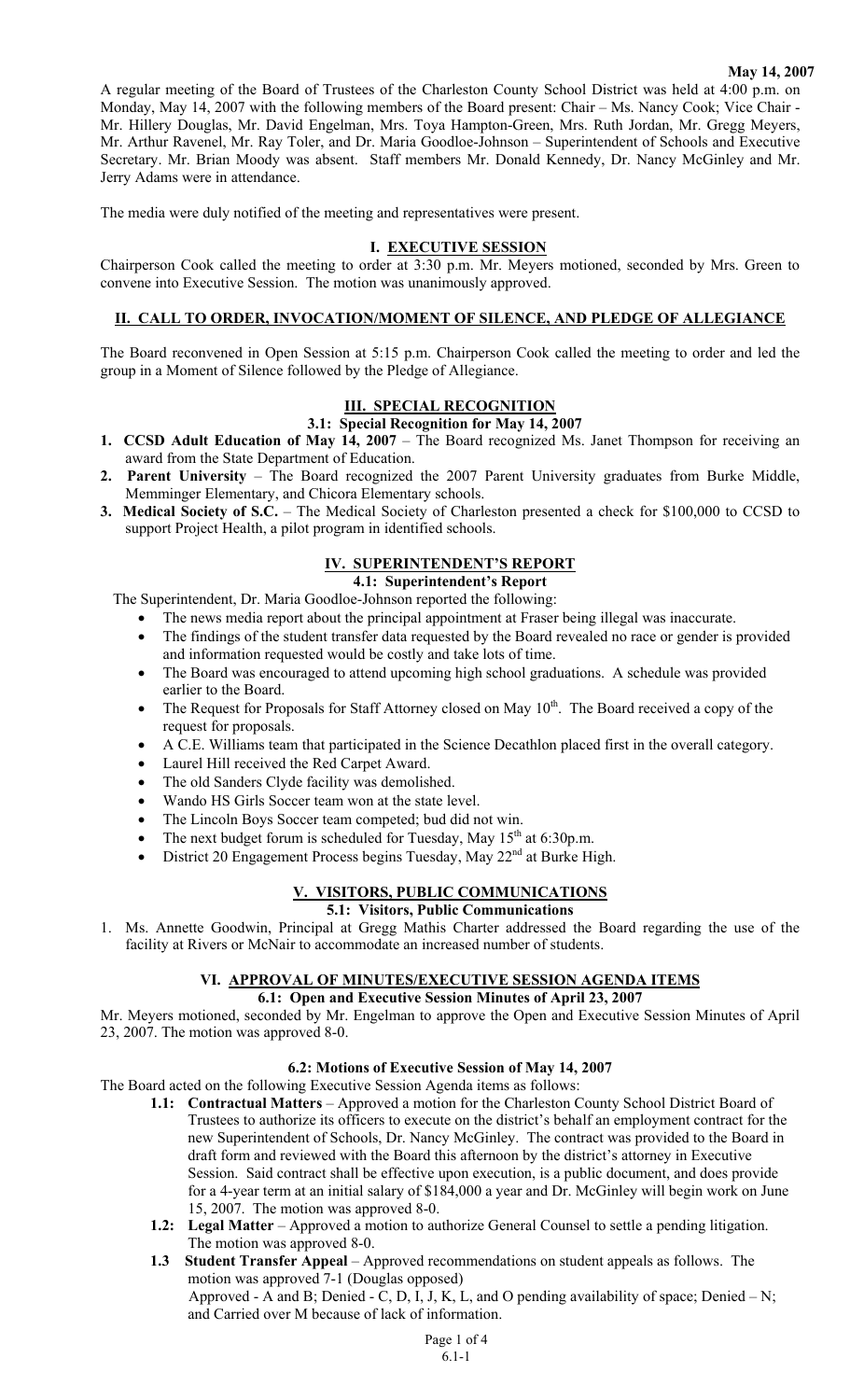#### **May 14, 2007**

A regular meeting of the Board of Trustees of the Charleston County School District was held at 4:00 p.m. on Monday, May 14, 2007 with the following members of the Board present: Chair – Ms. Nancy Cook; Vice Chair - Mr. Hillery Douglas, Mr. David Engelman, Mrs. Toya Hampton-Green, Mrs. Ruth Jordan, Mr. Gregg Meyers, Mr. Arthur Ravenel, Mr. Ray Toler, and Dr. Maria Goodloe-Johnson – Superintendent of Schools and Executive Secretary. Mr. Brian Moody was absent. Staff members Mr. Donald Kennedy, Dr. Nancy McGinley and Mr. Jerry Adams were in attendance.

The media were duly notified of the meeting and representatives were present.

#### **I. EXECUTIVE SESSION**

Chairperson Cook called the meeting to order at 3:30 p.m. Mr. Meyers motioned, seconded by Mrs. Green to convene into Executive Session. The motion was unanimously approved.

### **II. CALL TO ORDER, INVOCATION/MOMENT OF SILENCE, AND PLEDGE OF ALLEGIANCE**

The Board reconvened in Open Session at 5:15 p.m. Chairperson Cook called the meeting to order and led the group in a Moment of Silence followed by the Pledge of Allegiance.

# **III. SPECIAL RECOGNITION**

## **3.1: Special Recognition for May 14, 2007**

- **1. CCSD Adult Education of May 14, 2007** The Board recognized Ms. Janet Thompson for receiving an award from the State Department of Education.
- **2. Parent University** The Board recognized the 2007 Parent University graduates from Burke Middle, Memminger Elementary, and Chicora Elementary schools.
- **3. Medical Society of S.C.**  The Medical Society of Charleston presented a check for \$100,000 to CCSD to support Project Health, a pilot program in identified schools.

# **IV. SUPERINTENDENT'S REPORT**

# **4.1: Superintendent's Report**

The Superintendent, Dr. Maria Goodloe-Johnson reported the following:

- The news media report about the principal appointment at Fraser being illegal was inaccurate.
- The findings of the student transfer data requested by the Board revealed no race or gender is provided and information requested would be costly and take lots of time.
- The Board was encouraged to attend upcoming high school graduations. A schedule was provided earlier to the Board.
- The Request for Proposals for Staff Attorney closed on May  $10<sup>th</sup>$ . The Board received a copy of the request for proposals.
- A C.E. Williams team that participated in the Science Decathlon placed first in the overall category.
- Laurel Hill received the Red Carpet Award.
- The old Sanders Clyde facility was demolished.
- Wando HS Girls Soccer team won at the state level.
- The Lincoln Boys Soccer team competed; bud did not win.
- The next budget forum is scheduled for Tuesday, May  $15<sup>th</sup>$  at 6:30p.m.
- District 20 Engagement Process begins Tuesday, May 22<sup>nd</sup> at Burke High.

# **V. VISITORS, PUBLIC COMMUNICATIONS**

### **5.1: Visitors, Public Communications**

1. Ms. Annette Goodwin, Principal at Gregg Mathis Charter addressed the Board regarding the use of the facility at Rivers or McNair to accommodate an increased number of students.

# **VI. APPROVAL OF MINUTES/EXECUTIVE SESSION AGENDA ITEMS**

### **6.1: Open and Executive Session Minutes of April 23, 2007**

Mr. Meyers motioned, seconded by Mr. Engelman to approve the Open and Executive Session Minutes of April 23, 2007. The motion was approved 8-0.

### **6.2: Motions of Executive Session of May 14, 2007**

The Board acted on the following Executive Session Agenda items as follows:

- **1.1: Contractual Matters** Approved a motion for the Charleston County School District Board of Trustees to authorize its officers to execute on the district's behalf an employment contract for the new Superintendent of Schools, Dr. Nancy McGinley. The contract was provided to the Board in draft form and reviewed with the Board this afternoon by the district's attorney in Executive Session. Said contract shall be effective upon execution, is a public document, and does provide for a 4-year term at an initial salary of \$184,000 a year and Dr. McGinley will begin work on June 15, 2007. The motion was approved 8-0.
- **1.2:** Legal Matter Approved a motion to authorize General Counsel to settle a pending litigation. The motion was approved 8-0.
- **1.3 Student Transfer Appeal** Approved recommendations on student appeals as follows. The motion was approved 7-1 (Douglas opposed) Approved - A and B; Denied - C, D, I, J, K, L, and O pending availability of space; Denied  $-N$ ; and Carried over M because of lack of information.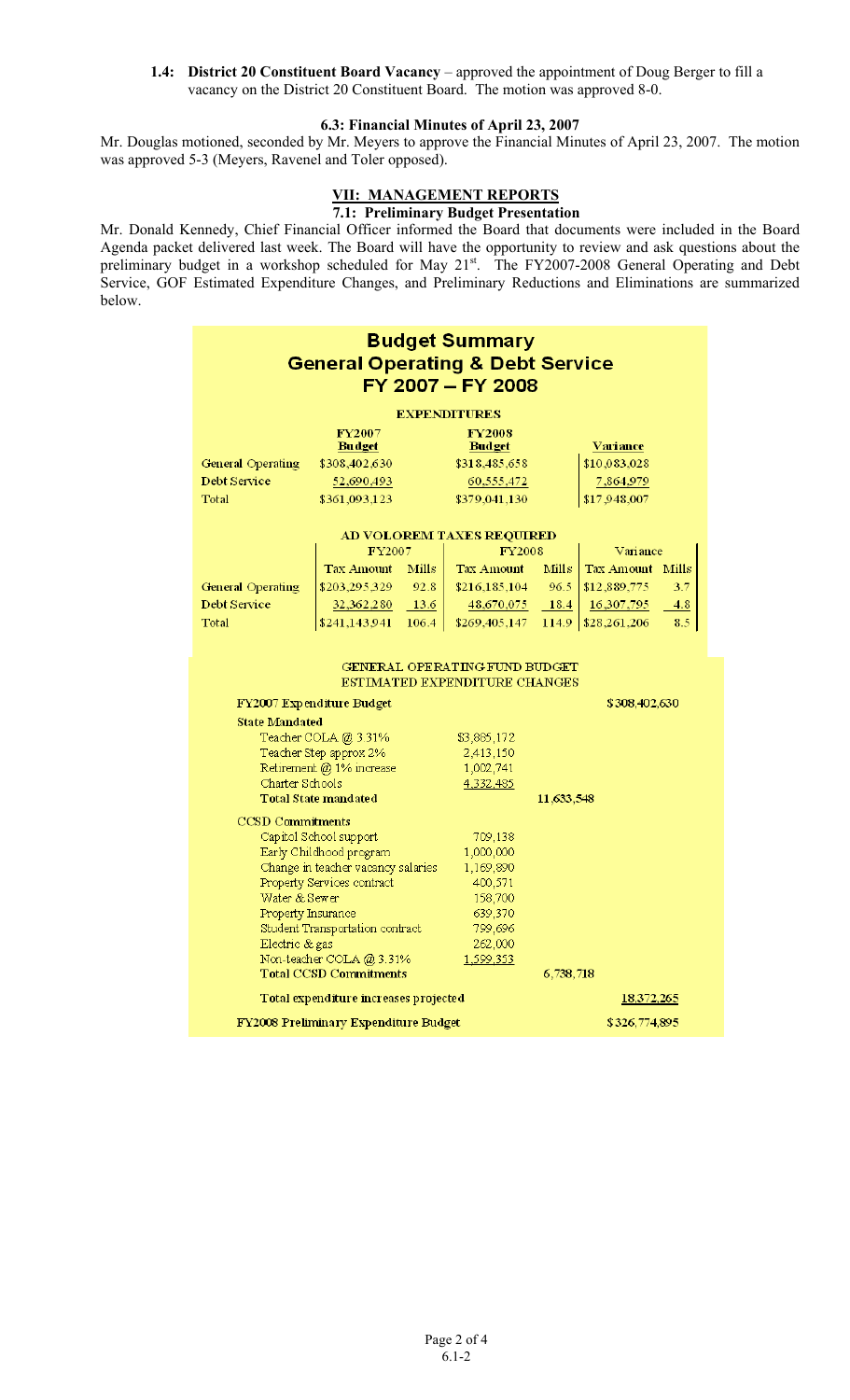**1.4: District 20 Constituent Board Vacancy** – approved the appointment of Doug Berger to fill a vacancy on the District 20 Constituent Board. The motion was approved 8-0.

### **6.3: Financial Minutes of April 23, 2007**

Mr. Douglas motioned, seconded by Mr. Meyers to approve the Financial Minutes of April 23, 2007. The motion was approved 5-3 (Meyers, Ravenel and Toler opposed).

### **VII: MANAGEMENT REPORTS**

## **7.1: Preliminary Budget Presentation**

Mr. Donald Kennedy, Chief Financial Officer informed the Board that documents were included in the Board Agenda packet delivered last week. The Board will have the opportunity to review and ask questions about the preliminary budget in a workshop scheduled for May 21<sup>st</sup>. The FY2007-2008 General Operating and Debt Service, GOF Estimated Expenditure Changes, and Preliminary Reductions and Eliminations are summarized below.

| <b>Budget Summary</b>                       |                           |             |                                      |            |                         |     |  |  |  |
|---------------------------------------------|---------------------------|-------------|--------------------------------------|------------|-------------------------|-----|--|--|--|
| <b>General Operating &amp; Debt Service</b> |                           |             |                                      |            |                         |     |  |  |  |
| FY 2007 - FY 2008                           |                           |             |                                      |            |                         |     |  |  |  |
|                                             |                           |             |                                      |            |                         |     |  |  |  |
| <b>EXPENDITURES</b>                         |                           |             |                                      |            |                         |     |  |  |  |
|                                             | FY2007<br><b>Budget</b>   |             | <b>FY2008</b><br><b>Budget</b>       |            | <u>Variance</u>         |     |  |  |  |
| <b>General Operating</b>                    | \$308,402,630             |             | \$318,485,658                        |            | \$10,083,028            |     |  |  |  |
| Debt Service                                | 52,690,493                |             | 60,555,472                           |            | 7,864,979               |     |  |  |  |
| Total                                       | \$361,093,123             |             | \$379,041,130                        |            | \$17,948,007            |     |  |  |  |
| AD VOLOREM TAXES REQUIRED                   |                           |             |                                      |            |                         |     |  |  |  |
|                                             | FY2007                    |             | <b>FY2008</b>                        |            | Variance                |     |  |  |  |
|                                             | <b>Tax Amount</b>         | Mills       | Tax Amount                           | Mills      | <b>Tax Amount</b> Mills |     |  |  |  |
| <b>General Operating</b>                    | \$203,295,329             | 92.8        | \$216,185,104                        | 96.5       | \$12,889,775            | 3.7 |  |  |  |
| Debt Service                                | 32,362,280                | 13.6        | 48,670,075                           | 18.4       | 16,307,795              | 4.8 |  |  |  |
| Total                                       | \$241,143,941             | 106.4       | \$269,405,147                        |            | 114.9   \$28,261,206    | 8.5 |  |  |  |
|                                             |                           |             |                                      |            |                         |     |  |  |  |
|                                             |                           |             | <b>GENERAL OPERATING FUND BUDGET</b> |            |                         |     |  |  |  |
|                                             |                           |             | ESTIMATED EXPENDITURE CHANGES        |            |                         |     |  |  |  |
|                                             | FY2007 Expenditure Budget |             |                                      |            | \$308,402,630           |     |  |  |  |
| <b>State Mandated</b>                       |                           |             |                                      |            |                         |     |  |  |  |
| Teacher COLA @ 3.31%                        |                           | \$3,885,172 |                                      |            |                         |     |  |  |  |
| Teacher Step approx 2%                      |                           | 2,413,150   |                                      |            |                         |     |  |  |  |
| Retirement @ 1% increase                    |                           | 1,002,741   |                                      |            |                         |     |  |  |  |
| Charter Schools                             |                           | 4,332,485   |                                      |            |                         |     |  |  |  |
| <b>Total State mandated</b>                 |                           |             |                                      | 11,633,548 |                         |     |  |  |  |
| <b>CCSD Commitments</b>                     |                           |             |                                      |            |                         |     |  |  |  |
| Capitol School support                      |                           |             | 709,138                              |            |                         |     |  |  |  |
| Early Childhood program                     |                           |             | 1,000,000                            |            |                         |     |  |  |  |
| Change in teacher vacancy salaries          |                           |             | 1,169,890                            |            |                         |     |  |  |  |
| Property Services contract                  |                           | 400,571     |                                      |            |                         |     |  |  |  |
| Water & Sewer                               |                           | 158,700     |                                      |            |                         |     |  |  |  |
| Property Insurance                          |                           | 639,370     |                                      |            |                         |     |  |  |  |
| Student Transportation contract             |                           | 799,696     |                                      |            |                         |     |  |  |  |
| Electric & gas                              |                           | 262,000     |                                      |            |                         |     |  |  |  |
| Non-teacher COLA @ 3.31%                    |                           |             | 1,599,353                            |            |                         |     |  |  |  |
| <b>Total CCSD Commitments</b><br>6,738,718  |                           |             |                                      |            |                         |     |  |  |  |
| Total expenditure increases projected       |                           |             |                                      | 18,372,265 |                         |     |  |  |  |
| FY2008 Preliminary Expenditure Budget       |                           |             | \$326,774,895                        |            |                         |     |  |  |  |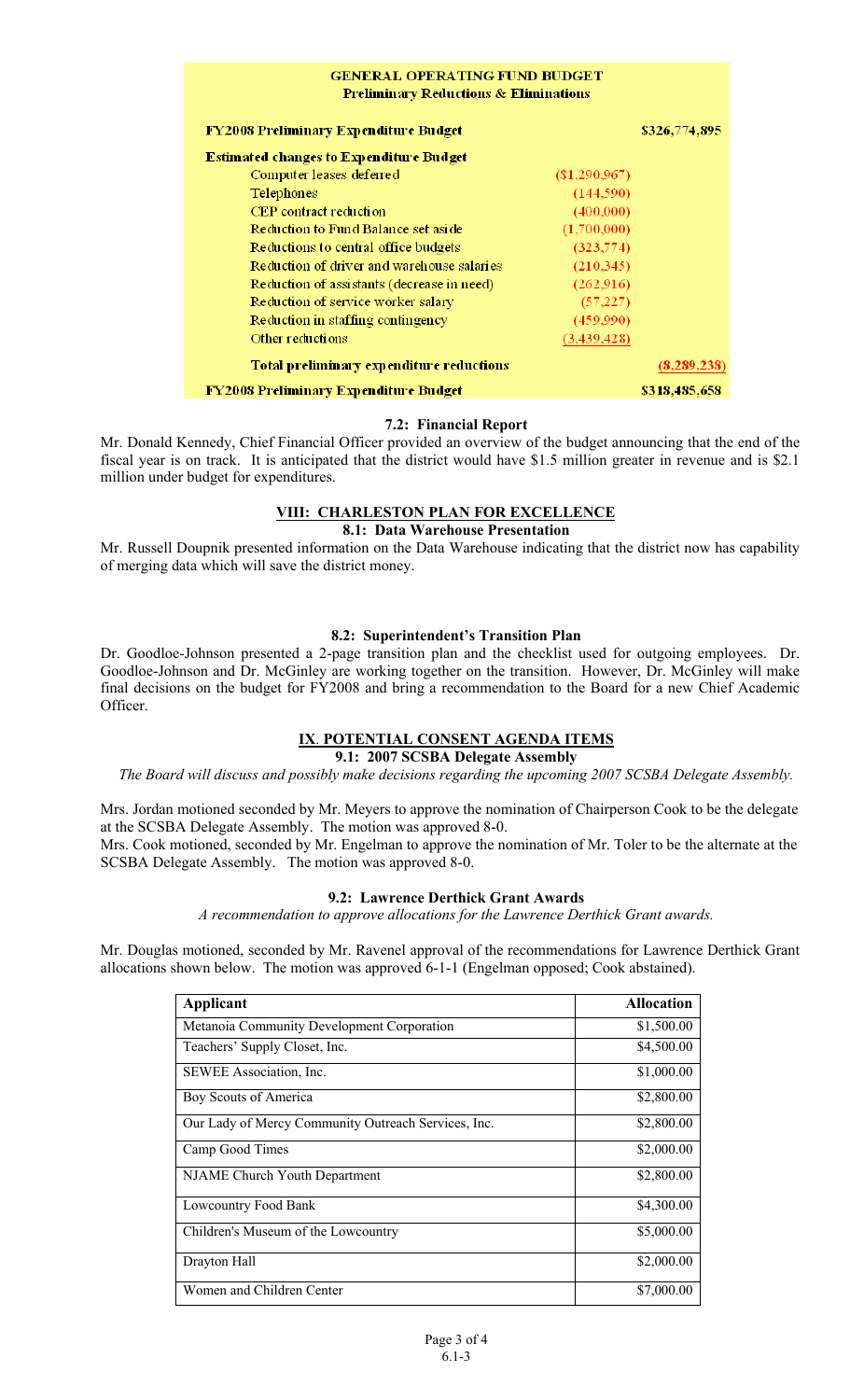| <b>GENERAL OPERATING FUND BUDGET</b><br><b>Preliminary Reductions &amp; Eliminations</b> |                 |               |  |  |  |  |
|------------------------------------------------------------------------------------------|-----------------|---------------|--|--|--|--|
| <b>FY2008 Preliminary Expenditure Budget</b>                                             |                 | \$326,774,895 |  |  |  |  |
| <b>Estimated changes to Expenditure Budget</b>                                           |                 |               |  |  |  |  |
| Computer leases deferred                                                                 | $(\$1,290,967)$ |               |  |  |  |  |
| Telephones                                                                               | (144, 590)      |               |  |  |  |  |
| CEP contract reduction                                                                   | (400,000)       |               |  |  |  |  |
| Reduction to Fund Balance set aside                                                      | (1,700,000)     |               |  |  |  |  |
| Reductions to central office budgets                                                     | (323, 774)      |               |  |  |  |  |
| Reduction of driver and warehouse salaries                                               | (210, 345)      |               |  |  |  |  |
| Reduction of assistants (decrease in need)                                               | (262, 916)      |               |  |  |  |  |
| Reduction of service worker salary                                                       | (57, 227)       |               |  |  |  |  |
| Reduction in staffing contingency                                                        | (459,990)       |               |  |  |  |  |
| Other reductions                                                                         | (3,439,428)     |               |  |  |  |  |
| Total preliminary expenditure reductions                                                 |                 | (8, 289, 238) |  |  |  |  |
| <b>FY2008 Preliminary Expenditure Budget</b>                                             |                 | \$318,485,658 |  |  |  |  |

## **7.2: Financial Report**

Mr. Donald Kennedy, Chief Financial Officer provided an overview of the budget announcing that the end of the fiscal year is on track. It is anticipated that the district would have \$1.5 million greater in revenue and is \$2.1 million under budget for expenditures.

# **VIII: CHARLESTON PLAN FOR EXCELLENCE**

## **8.1: Data Warehouse Presentation**

Mr. Russell Doupnik presented information on the Data Warehouse indicating that the district now has capability of merging data which will save the district money.

# **8.2: Superintendent's Transition Plan**

Dr. Goodloe-Johnson presented a 2-page transition plan and the checklist used for outgoing employees. Dr. Goodloe-Johnson and Dr. McGinley are working together on the transition. However, Dr. McGinley will make final decisions on the budget for FY2008 and bring a recommendation to the Board for a new Chief Academic Officer.

# **IX**. **POTENTIAL CONSENT AGENDA ITEMS**

# **9.1: 2007 SCSBA Delegate Assembly**

*The Board will discuss and possibly make decisions regarding the upcoming 2007 SCSBA Delegate Assembly.* 

Mrs. Jordan motioned seconded by Mr. Meyers to approve the nomination of Chairperson Cook to be the delegate at the SCSBA Delegate Assembly. The motion was approved 8-0. Mrs. Cook motioned, seconded by Mr. Engelman to approve the nomination of Mr. Toler to be the alternate at the SCSBA Delegate Assembly. The motion was approved 8-0.

# **9.2: Lawrence Derthick Grant Awards**

*A recommendation to approve allocations for the Lawrence Derthick Grant awards.* 

Mr. Douglas motioned, seconded by Mr. Ravenel approval of the recommendations for Lawrence Derthick Grant allocations shown below. The motion was approved 6-1-1 (Engelman opposed; Cook abstained).

| Applicant                                           | <b>Allocation</b> |
|-----------------------------------------------------|-------------------|
| Metanoia Community Development Corporation          | \$1,500.00        |
| Teachers' Supply Closet, Inc.                       | \$4,500.00        |
| SEWEE Association, Inc.                             | \$1,000.00        |
| Boy Scouts of America                               | \$2,800.00        |
| Our Lady of Mercy Community Outreach Services, Inc. | \$2,800.00        |
| Camp Good Times                                     | \$2,000.00        |
| NJAME Church Youth Department                       | \$2,800.00        |
| Lowcountry Food Bank                                | \$4,300.00        |
| Children's Museum of the Lowcountry                 | \$5,000.00        |
| Drayton Hall                                        | \$2,000.00        |
| Women and Children Center                           | \$7,000.00        |